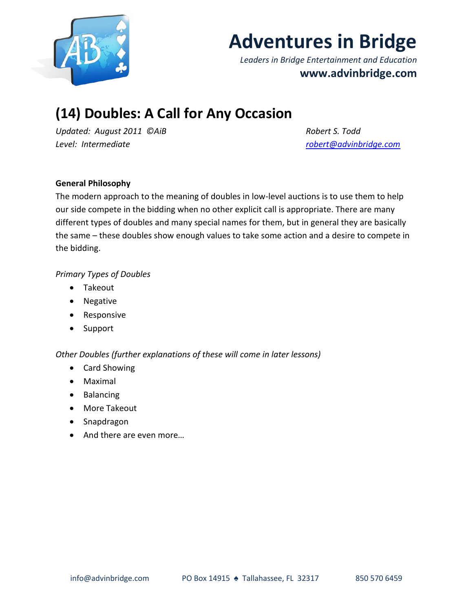

# **Adventures in Bridge**

*Leaders in Bridge Entertainment and Education* **www.advinbridge.com**

# **(14) Doubles: A Call for Any Occasion**

*Updated: August 2011 ©AiB Robert S. Todd Level: Intermediate [robert@advinbridge.com](mailto:robert@advinbridge.com)*

# **General Philosophy**

The modern approach to the meaning of doubles in low-level auctions is to use them to help our side compete in the bidding when no other explicit call is appropriate. There are many different types of doubles and many special names for them, but in general they are basically the same – these doubles show enough values to take some action and a desire to compete in the bidding.

# *Primary Types of Doubles*

- Takeout
- Negative
- Responsive
- Support

*Other Doubles (further explanations of these will come in later lessons)*

- Card Showing
- Maximal
- Balancing
- More Takeout
- Snapdragon
- And there are even more...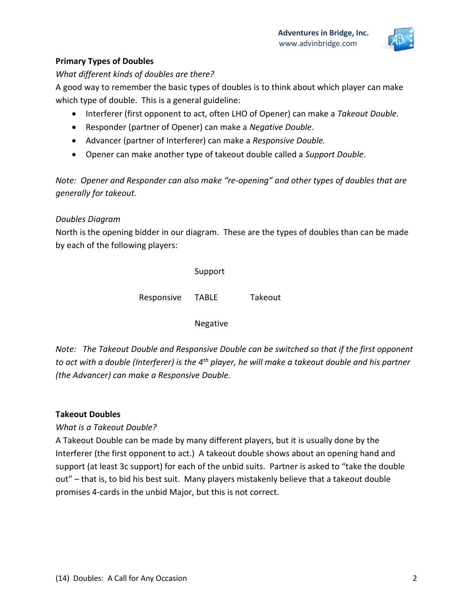

# **Primary Types of Doubles**

*What different kinds of doubles are there?*

A good way to remember the basic types of doubles is to think about which player can make which type of double. This is a general guideline:

- Interferer (first opponent to act, often LHO of Opener) can make a *Takeout Double.*
- Responder (partner of Opener) can make a *Negative Double*.
- Advancer (partner of Interferer) can make a *Responsive Double.*
- Opener can make another type of takeout double called a *Support Double*.

*Note: Opener and Responder can also make "re-opening" and other types of doubles that are generally for takeout.* 

# *Doubles Diagram*

North is the opening bidder in our diagram. These are the types of doubles than can be made by each of the following players:

|            | Support |         |
|------------|---------|---------|
| Responsive | TABLE   | Takeout |

Negative

*Note: The Takeout Double and Responsive Double can be switched so that if the first opponent to act with a double (Interferer) is the 4th player, he will make a takeout double and his partner (the Advancer) can make a Responsive Double.* 

# **Takeout Doubles**

*What is a Takeout Double?*

A Takeout Double can be made by many different players, but it is usually done by the Interferer (the first opponent to act.) A takeout double shows about an opening hand and support (at least 3c support) for each of the unbid suits. Partner is asked to "take the double out" – that is, to bid his best suit. Many players mistakenly believe that a takeout double promises 4-cards in the unbid Major, but this is not correct.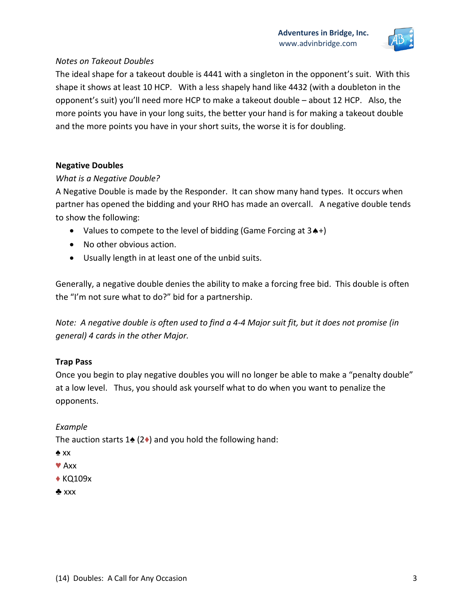

# *Notes on Takeout Doubles*

The ideal shape for a takeout double is 4441 with a singleton in the opponent's suit. With this shape it shows at least 10 HCP. With a less shapely hand like 4432 (with a doubleton in the opponent's suit) you'll need more HCP to make a takeout double – about 12 HCP. Also, the more points you have in your long suits, the better your hand is for making a takeout double and the more points you have in your short suits, the worse it is for doubling.

#### **Negative Doubles**

#### *What is a Negative Double?*

A Negative Double is made by the Responder. It can show many hand types. It occurs when partner has opened the bidding and your RHO has made an overcall. A negative double tends to show the following:

- Values to compete to the level of bidding (Game Forcing at  $3A+$ )
- No other obvious action.
- Usually length in at least one of the unbid suits.

Generally, a negative double denies the ability to make a forcing free bid. This double is often the "I'm not sure what to do?" bid for a partnership.

*Note: A negative double is often used to find a 4-4 Major suit fit, but it does not promise (in general) 4 cards in the other Major.*

# **Trap Pass**

Once you begin to play negative doubles you will no longer be able to make a "penalty double" at a low level. Thus, you should ask yourself what to do when you want to penalize the opponents.

# *Example*

The auction starts 1 $\triangleq$  (2 $\triangleq$ ) and you hold the following hand:

- ♠ xx
- ♥ Axx
- ♦ KQ109x
- ♣ xxx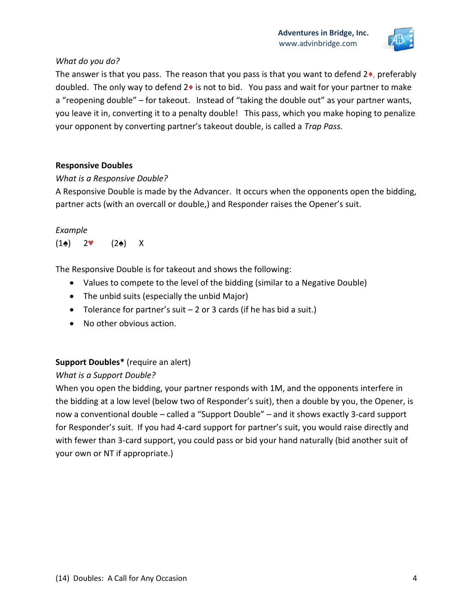

# *What do you do?*

The answer is that you pass. The reason that you pass is that you want to defend  $2\bullet$ , preferably doubled. The only way to defend  $2\bullet$  is not to bid. You pass and wait for your partner to make a "reopening double" – for takeout. Instead of "taking the double out" as your partner wants, you leave it in, converting it to a penalty double! This pass, which you make hoping to penalize your opponent by converting partner's takeout double, is called a *Trap Pass.*

# **Responsive Doubles**

# *What is a Responsive Double?*

A Responsive Double is made by the Advancer. It occurs when the opponents open the bidding, partner acts (with an overcall or double,) and Responder raises the Opener's suit.

#### *Example*

 $(1\spadesuit)$  2♥  $(2\spadesuit)$  X

The Responsive Double is for takeout and shows the following:

- Values to compete to the level of the bidding (similar to a Negative Double)
- The unbid suits (especially the unbid Major)
- Tolerance for partner's suit  $-2$  or 3 cards (if he has bid a suit.)
- No other obvious action.

# **Support Doubles\*** (require an alert)

# *What is a Support Double?*

When you open the bidding, your partner responds with 1M, and the opponents interfere in the bidding at a low level (below two of Responder's suit), then a double by you, the Opener, is now a conventional double – called a "Support Double" – and it shows exactly 3-card support for Responder's suit. If you had 4-card support for partner's suit, you would raise directly and with fewer than 3-card support, you could pass or bid your hand naturally (bid another suit of your own or NT if appropriate.)